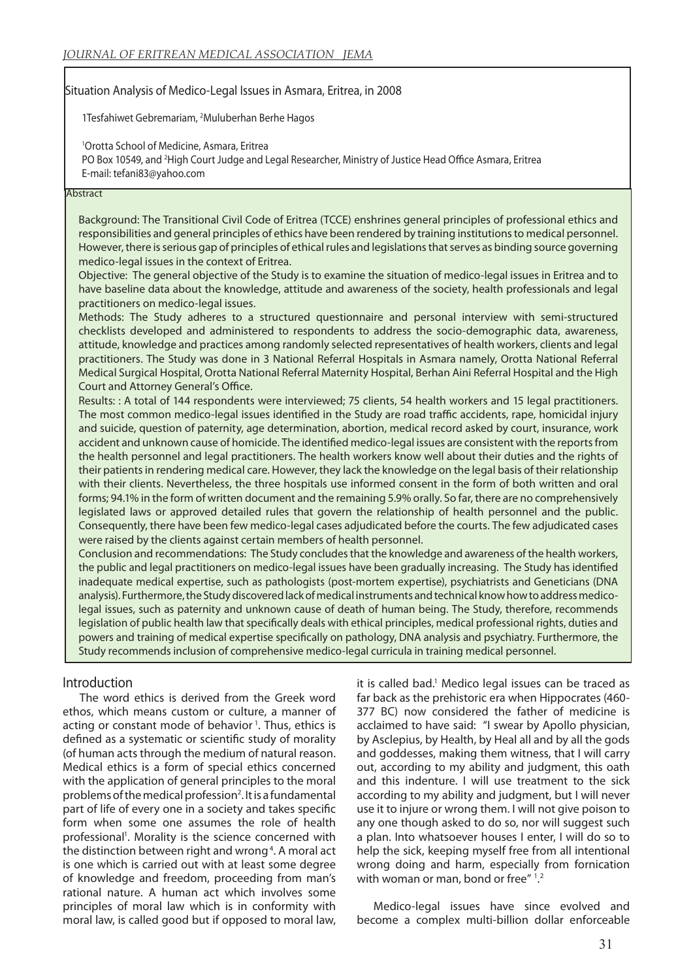### Situation Analysis of Medico-Legal Issues in Asmara, Eritrea, in 2008

1Tesfahiwet Gebremariam, 2 Muluberhan Berhe Hagos

1 Orotta School of Medicine, Asmara, Eritrea PO Box 10549, and 2 High Court Judge and Legal Researcher, Ministry of Justice Head Office Asmara, Eritrea E-mail: tefani83@yahoo.com

#### **Abstract**

Background: The Transitional Civil Code of Eritrea (TCCE) enshrines general principles of professional ethics and responsibilities and general principles of ethics have been rendered by training institutions to medical personnel. However, there is serious gap of principles of ethical rules and legislations that serves as binding source governing medico-legal issues in the context of Eritrea.

Objective: The general objective of the Study is to examine the situation of medico-legal issues in Eritrea and to have baseline data about the knowledge, attitude and awareness of the society, health professionals and legal practitioners on medico-legal issues.

Methods: The Study adheres to a structured questionnaire and personal interview with semi-structured checklists developed and administered to respondents to address the socio-demographic data, awareness, attitude, knowledge and practices among randomly selected representatives of health workers, clients and legal practitioners. The Study was done in 3 National Referral Hospitals in Asmara namely, Orotta National Referral Medical Surgical Hospital, Orotta National Referral Maternity Hospital, Berhan Aini Referral Hospital and the High Court and Attorney General's Office.

Results: : A total of 144 respondents were interviewed; 75 clients, 54 health workers and 15 legal practitioners. The most common medico-legal issues identified in the Study are road traffic accidents, rape, homicidal injury and suicide, question of paternity, age determination, abortion, medical record asked by court, insurance, work accident and unknown cause of homicide. The identified medico-legal issues are consistent with the reports from the health personnel and legal practitioners. The health workers know well about their duties and the rights of their patients in rendering medical care. However, they lack the knowledge on the legal basis of their relationship with their clients. Nevertheless, the three hospitals use informed consent in the form of both written and oral forms; 94.1% in the form of written document and the remaining 5.9% orally. So far, there are no comprehensively legislated laws or approved detailed rules that govern the relationship of health personnel and the public. Consequently, there have been few medico-legal cases adjudicated before the courts. The few adjudicated cases were raised by the clients against certain members of health personnel.

Conclusion and recommendations: The Study concludes that the knowledge and awareness of the health workers, the public and legal practitioners on medico-legal issues have been gradually increasing. The Study has identified inadequate medical expertise, such as pathologists (post-mortem expertise), psychiatrists and Geneticians (DNA analysis). Furthermore, the Study discovered lack of medical instruments and technical know how to address medicolegal issues, such as paternity and unknown cause of death of human being. The Study, therefore, recommends legislation of public health law that specifically deals with ethical principles, medical professional rights, duties and powers and training of medical expertise specifically on pathology, DNA analysis and psychiatry. Furthermore, the Study recommends inclusion of comprehensive medico-legal curricula in training medical personnel.

# Introduction

The word ethics is derived from the Greek word ethos, which means custom or culture, a manner of acting or constant mode of behavior<sup>1</sup>. Thus, ethics is defined as a systematic or scientific study of morality (of human acts through the medium of natural reason. Medical ethics is a form of special ethics concerned with the application of general principles to the moral problems of the medical profession<sup>2</sup>. It is a fundamental part of life of every one in a society and takes specific form when some one assumes the role of health professional<sup>1</sup>. Morality is the science concerned with the distinction between right and wrong<sup>4</sup>. A moral act is one which is carried out with at least some degree of knowledge and freedom, proceeding from man's rational nature. A human act which involves some principles of moral law which is in conformity with moral law, is called good but if opposed to moral law,

it is called bad.<sup>1</sup> Medico legal issues can be traced as far back as the prehistoric era when Hippocrates (460- 377 BC) now considered the father of medicine is acclaimed to have said: "I swear by Apollo physician, by Asclepius, by Health, by Heal all and by all the gods and goddesses, making them witness, that I will carry out, according to my ability and judgment, this oath and this indenture. I will use treatment to the sick according to my ability and judgment, but I will never use it to injure or wrong them. I will not give poison to any one though asked to do so, nor will suggest such a plan. Into whatsoever houses I enter, I will do so to help the sick, keeping myself free from all intentional wrong doing and harm, especially from fornication with woman or man, bond or free"<sup>1,2</sup>

Medico-legal issues have since evolved and become a complex multi-billion dollar enforceable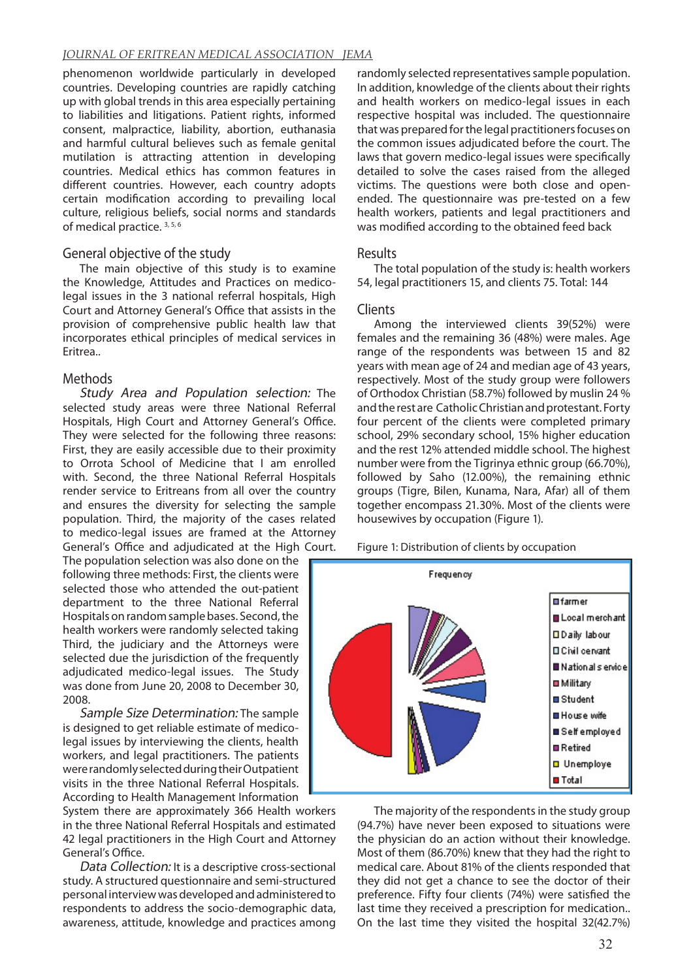phenomenon worldwide particularly in developed countries. Developing countries are rapidly catching up with global trends in this area especially pertaining to liabilities and litigations. Patient rights, informed consent, malpractice, liability, abortion, euthanasia and harmful cultural believes such as female genital mutilation is attracting attention in developing countries. Medical ethics has common features in different countries. However, each country adopts certain modification according to prevailing local culture, religious beliefs, social norms and standards of medical practice. 3, 5, 6

#### General objective of the study

The main objective of this study is to examine the Knowledge, Attitudes and Practices on medicolegal issues in the 3 national referral hospitals, High Court and Attorney General's Office that assists in the provision of comprehensive public health law that incorporates ethical principles of medical services in Eritrea..

#### **Methods**

Study Area and Population selection: The selected study areas were three National Referral Hospitals, High Court and Attorney General's Office. They were selected for the following three reasons: First, they are easily accessible due to their proximity to Orrota School of Medicine that I am enrolled with. Second, the three National Referral Hospitals render service to Eritreans from all over the country and ensures the diversity for selecting the sample population. Third, the majority of the cases related to medico-legal issues are framed at the Attorney General's Office and adjudicated at the High Court.

The population selection was also done on the following three methods: First, the clients were selected those who attended the out-patient department to the three National Referral Hospitals on random sample bases. Second, the health workers were randomly selected taking Third, the judiciary and the Attorneys were selected due the jurisdiction of the frequently adjudicated medico-legal issues. The Study was done from June 20, 2008 to December 30, 2008.

Sample Size Determination: The sample is designed to get reliable estimate of medicolegal issues by interviewing the clients, health workers, and legal practitioners. The patients were randomly selected during their Outpatient visits in the three National Referral Hospitals. According to Health Management Information

System there are approximately 366 Health workers in the three National Referral Hospitals and estimated 42 legal practitioners in the High Court and Attorney General's Office.

Data Collection: It is a descriptive cross-sectional study. A structured questionnaire and semi-structured personal interview was developed and administered to respondents to address the socio-demographic data, awareness, attitude, knowledge and practices among

randomly selected representatives sample population. In addition, knowledge of the clients about their rights and health workers on medico-legal issues in each respective hospital was included. The questionnaire that was prepared for the legal practitioners focuses on the common issues adjudicated before the court. The laws that govern medico-legal issues were specifically detailed to solve the cases raised from the alleged victims. The questions were both close and openended. The questionnaire was pre-tested on a few health workers, patients and legal practitioners and was modified according to the obtained feed back

#### Results

The total population of the study is: health workers 54, legal practitioners 15, and clients 75. Total: 144

#### Clients

Among the interviewed clients 39(52%) were females and the remaining 36 (48%) were males. Age range of the respondents was between 15 and 82 years with mean age of 24 and median age of 43 years, respectively. Most of the study group were followers of Orthodox Christian (58.7%) followed by muslin 24 % and the rest are Catholic Christian and protestant. Forty four percent of the clients were completed primary school, 29% secondary school, 15% higher education and the rest 12% attended middle school. The highest number were from the Tigrinya ethnic group (66.70%), followed by Saho (12.00%), the remaining ethnic groups (Tigre, Bilen, Kunama, Nara, Afar) all of them together encompass 21.30%. Most of the clients were housewives by occupation (Figure 1).

Figure 1: Distribution of clients by occupation



The majority of the respondents in the study group (94.7%) have never been exposed to situations were the physician do an action without their knowledge. Most of them (86.70%) knew that they had the right to medical care. About 81% of the clients responded that they did not get a chance to see the doctor of their preference. Fifty four clients (74%) were satisfied the last time they received a prescription for medication.. On the last time they visited the hospital 32(42.7%)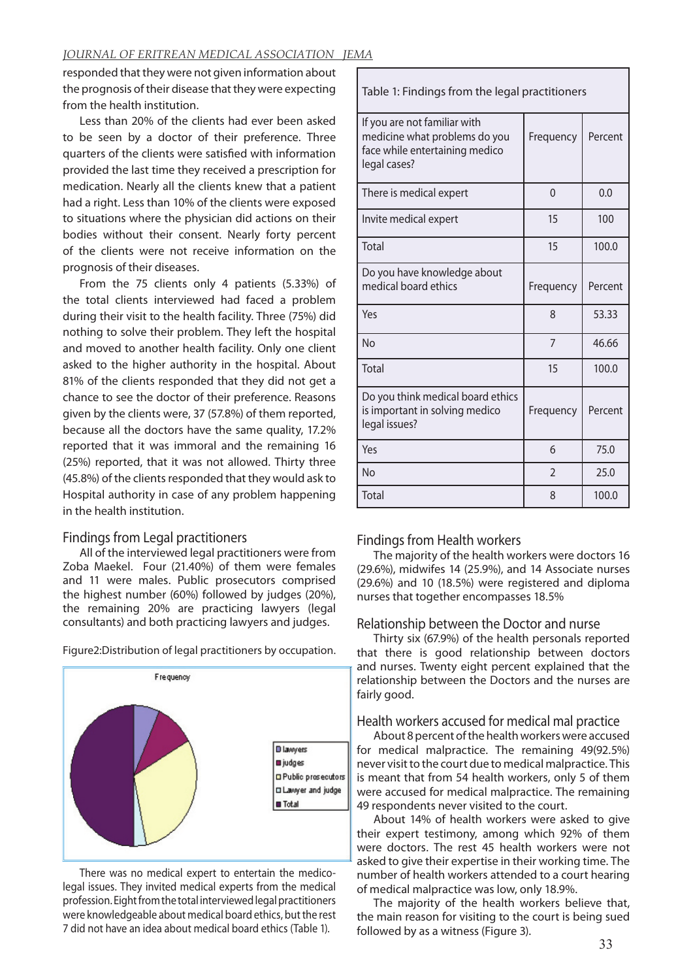responded that they were not given information about the prognosis of their disease that they were expecting from the health institution.

Less than 20% of the clients had ever been asked to be seen by a doctor of their preference. Three quarters of the clients were satisfied with information provided the last time they received a prescription for medication. Nearly all the clients knew that a patient had a right. Less than 10% of the clients were exposed to situations where the physician did actions on their bodies without their consent. Nearly forty percent of the clients were not receive information on the prognosis of their diseases.

From the 75 clients only 4 patients (5.33%) of the total clients interviewed had faced a problem during their visit to the health facility. Three (75%) did nothing to solve their problem. They left the hospital and moved to another health facility. Only one client asked to the higher authority in the hospital. About 81% of the clients responded that they did not get a chance to see the doctor of their preference. Reasons given by the clients were, 37 (57.8%) of them reported, because all the doctors have the same quality, 17.2% reported that it was immoral and the remaining 16 (25%) reported, that it was not allowed. Thirty three (45.8%) of the clients responded that they would ask to Hospital authority in case of any problem happening in the health institution.

## Findings from Legal practitioners

All of the interviewed legal practitioners were from Zoba Maekel. Four (21.40%) of them were females and 11 were males. Public prosecutors comprised the highest number (60%) followed by judges (20%), the remaining 20% are practicing lawyers (legal consultants) and both practicing lawyers and judges.



Figure2:Distribution of legal practitioners by occupation.

There was no medical expert to entertain the medicolegal issues. They invited medical experts from the medical profession. Eight from the total interviewed legal practitioners were knowledgeable about medical board ethics, but the rest 7 did not have an idea about medical board ethics (Table 1).

| Table 1: Findings from the legal practitioners                                                                  |                |         |
|-----------------------------------------------------------------------------------------------------------------|----------------|---------|
| If you are not familiar with<br>medicine what problems do you<br>face while entertaining medico<br>legal cases? | Frequency      | Percent |
| There is medical expert                                                                                         | $\Omega$       | 0.0     |
| Invite medical expert                                                                                           | 15             | 100     |
| Total                                                                                                           | 15             | 100.0   |
| Do you have knowledge about<br>medical board ethics                                                             | Frequency      | Percent |
| Yes                                                                                                             | 8              | 53.33   |
| <b>No</b>                                                                                                       | 7              | 46.66   |
| <b>Total</b>                                                                                                    | 15             | 100.0   |
| Do you think medical board ethics<br>is important in solving medico<br>legal issues?                            | Frequency      | Percent |
| Yes                                                                                                             | 6              | 75.0    |
| <b>No</b>                                                                                                       | $\mathfrak{D}$ | 25.0    |
| <b>Total</b>                                                                                                    | 8              | 100.0   |

## Findings from Health workers

The majority of the health workers were doctors 16 (29.6%), midwifes 14 (25.9%), and 14 Associate nurses (29.6%) and 10 (18.5%) were registered and diploma nurses that together encompasses 18.5%

#### Relationship between the Doctor and nurse

Thirty six (67.9%) of the health personals reported that there is good relationship between doctors and nurses. Twenty eight percent explained that the relationship between the Doctors and the nurses are fairly good.

### Health workers accused for medical mal practice

About 8 percent of the health workers were accused for medical malpractice. The remaining 49(92.5%) never visit to the court due to medical malpractice. This is meant that from 54 health workers, only 5 of them were accused for medical malpractice. The remaining 49 respondents never visited to the court.

About 14% of health workers were asked to give their expert testimony, among which 92% of them were doctors. The rest 45 health workers were not asked to give their expertise in their working time. The number of health workers attended to a court hearing of medical malpractice was low, only 18.9%.

The majority of the health workers believe that, the main reason for visiting to the court is being sued followed by as a witness (Figure 3).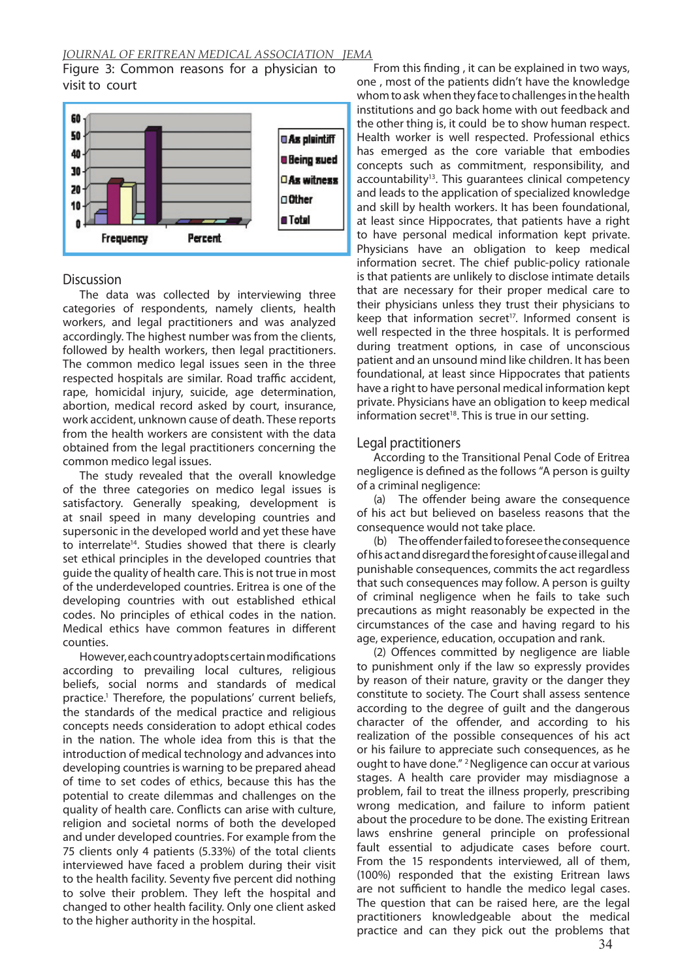Figure 3: Common reasons for a physician to visit to court



### Discussion

The data was collected by interviewing three categories of respondents, namely clients, health workers, and legal practitioners and was analyzed accordingly. The highest number was from the clients, followed by health workers, then legal practitioners. The common medico legal issues seen in the three respected hospitals are similar. Road traffic accident, rape, homicidal injury, suicide, age determination, abortion, medical record asked by court, insurance, work accident, unknown cause of death. These reports from the health workers are consistent with the data obtained from the legal practitioners concerning the common medico legal issues.

The study revealed that the overall knowledge of the three categories on medico legal issues is satisfactory. Generally speaking, development is at snail speed in many developing countries and supersonic in the developed world and yet these have to interrelate<sup>14</sup>. Studies showed that there is clearly set ethical principles in the developed countries that guide the quality of health care. This is not true in most of the underdeveloped countries. Eritrea is one of the developing countries with out established ethical codes. No principles of ethical codes in the nation. Medical ethics have common features in different counties.

However, each country adopts certain modifications according to prevailing local cultures, religious beliefs, social norms and standards of medical practice.<sup>1</sup> Therefore, the populations' current beliefs, the standards of the medical practice and religious concepts needs consideration to adopt ethical codes in the nation. The whole idea from this is that the introduction of medical technology and advances into developing countries is warning to be prepared ahead of time to set codes of ethics, because this has the potential to create dilemmas and challenges on the quality of health care. Conflicts can arise with culture, religion and societal norms of both the developed and under developed countries. For example from the 75 clients only 4 patients (5.33%) of the total clients interviewed have faced a problem during their visit to the health facility. Seventy five percent did nothing to solve their problem. They left the hospital and changed to other health facility. Only one client asked to the higher authority in the hospital.

From this finding , it can be explained in two ways, one , most of the patients didn't have the knowledge whom to ask when they face to challenges in the health institutions and go back home with out feedback and the other thing is, it could be to show human respect. Health worker is well respected. Professional ethics has emerged as the core variable that embodies concepts such as commitment, responsibility, and  $accountability<sup>13</sup>$ . This quarantees clinical competency and leads to the application of specialized knowledge and skill by health workers. It has been foundational, at least since Hippocrates, that patients have a right to have personal medical information kept private. Physicians have an obligation to keep medical information secret. The chief public-policy rationale is that patients are unlikely to disclose intimate details that are necessary for their proper medical care to their physicians unless they trust their physicians to keep that information secret<sup>17</sup>. Informed consent is well respected in the three hospitals. It is performed during treatment options, in case of unconscious patient and an unsound mind like children. It has been foundational, at least since Hippocrates that patients have a right to have personal medical information kept private. Physicians have an obligation to keep medical information secret<sup>18</sup>. This is true in our setting.

## Legal practitioners

According to the Transitional Penal Code of Eritrea negligence is defined as the follows "A person is guilty of a criminal negligence:

(a) The offender being aware the consequence of his act but believed on baseless reasons that the consequence would not take place.

(b) The offender failed to foresee the consequence of his act and disregard the foresight of cause illegal and punishable consequences, commits the act regardless that such consequences may follow. A person is guilty of criminal negligence when he fails to take such precautions as might reasonably be expected in the circumstances of the case and having regard to his age, experience, education, occupation and rank.

(2) Offences committed by negligence are liable to punishment only if the law so expressly provides by reason of their nature, gravity or the danger they constitute to society. The Court shall assess sentence according to the degree of guilt and the dangerous character of the offender, and according to his realization of the possible consequences of his act or his failure to appreciate such consequences, as he ought to have done." 2 Negligence can occur at various stages. A health care provider may misdiagnose a problem, fail to treat the illness properly, prescribing wrong medication, and failure to inform patient about the procedure to be done. The existing Eritrean laws enshrine general principle on professional fault essential to adjudicate cases before court. From the 15 respondents interviewed, all of them, (100%) responded that the existing Eritrean laws are not sufficient to handle the medico legal cases. The question that can be raised here, are the legal practitioners knowledgeable about the medical practice and can they pick out the problems that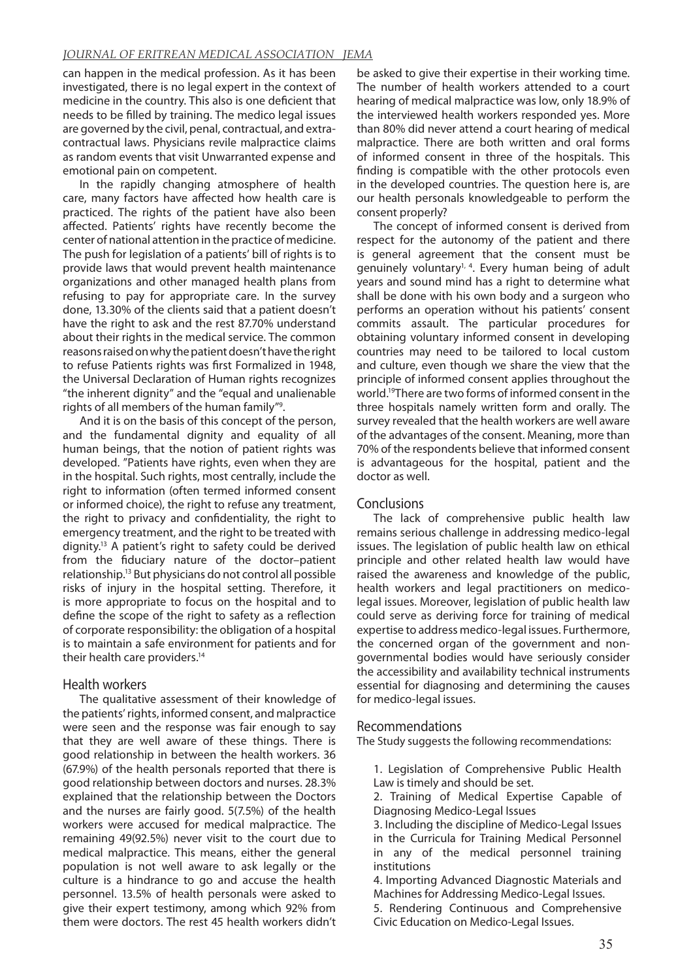can happen in the medical profession. As it has been investigated, there is no legal expert in the context of medicine in the country. This also is one deficient that needs to be filled by training. The medico legal issues are governed by the civil, penal, contractual, and extracontractual laws. Physicians revile malpractice claims as random events that visit Unwarranted expense and emotional pain on competent.

In the rapidly changing atmosphere of health care, many factors have affected how health care is practiced. The rights of the patient have also been affected. Patients' rights have recently become the center of national attention in the practice of medicine. The push for legislation of a patients' bill of rights is to provide laws that would prevent health maintenance organizations and other managed health plans from refusing to pay for appropriate care. In the survey done, 13.30% of the clients said that a patient doesn't have the right to ask and the rest 87.70% understand about their rights in the medical service. The common reasons raised on why the patient doesn't have the right to refuse Patients rights was first Formalized in 1948, the Universal Declaration of Human rights recognizes "the inherent dignity" and the "equal and unalienable rights of all members of the human family"9 .

And it is on the basis of this concept of the person, and the fundamental dignity and equality of all human beings, that the notion of patient rights was developed. "Patients have rights, even when they are in the hospital. Such rights, most centrally, include the right to information (often termed informed consent or informed choice), the right to refuse any treatment, the right to privacy and confidentiality, the right to emergency treatment, and the right to be treated with dignity.13 A patient's right to safety could be derived from the fiduciary nature of the doctor–patient relationship.13 But physicians do not control all possible risks of injury in the hospital setting. Therefore, it is more appropriate to focus on the hospital and to define the scope of the right to safety as a reflection of corporate responsibility: the obligation of a hospital is to maintain a safe environment for patients and for their health care providers.<sup>14</sup>

## Health workers

The qualitative assessment of their knowledge of the patients' rights, informed consent, and malpractice were seen and the response was fair enough to say that they are well aware of these things. There is good relationship in between the health workers. 36 (67.9%) of the health personals reported that there is good relationship between doctors and nurses. 28.3% explained that the relationship between the Doctors and the nurses are fairly good. 5(7.5%) of the health workers were accused for medical malpractice. The remaining 49(92.5%) never visit to the court due to medical malpractice. This means, either the general population is not well aware to ask legally or the culture is a hindrance to go and accuse the health personnel. 13.5% of health personals were asked to give their expert testimony, among which 92% from them were doctors. The rest 45 health workers didn't

be asked to give their expertise in their working time. The number of health workers attended to a court hearing of medical malpractice was low, only 18.9% of the interviewed health workers responded yes. More than 80% did never attend a court hearing of medical malpractice. There are both written and oral forms of informed consent in three of the hospitals. This finding is compatible with the other protocols even in the developed countries. The question here is, are our health personals knowledgeable to perform the consent properly?

The concept of informed consent is derived from respect for the autonomy of the patient and there is general agreement that the consent must be genuinely voluntary<sup>1, 4</sup>. Every human being of adult years and sound mind has a right to determine what shall be done with his own body and a surgeon who performs an operation without his patients' consent commits assault. The particular procedures for obtaining voluntary informed consent in developing countries may need to be tailored to local custom and culture, even though we share the view that the principle of informed consent applies throughout the world.19There are two forms of informed consent in the three hospitals namely written form and orally. The survey revealed that the health workers are well aware of the advantages of the consent. Meaning, more than 70% of the respondents believe that informed consent is advantageous for the hospital, patient and the doctor as well.

## **Conclusions**

The lack of comprehensive public health law remains serious challenge in addressing medico-legal issues. The legislation of public health law on ethical principle and other related health law would have raised the awareness and knowledge of the public, health workers and legal practitioners on medicolegal issues. Moreover, legislation of public health law could serve as deriving force for training of medical expertise to address medico-legal issues. Furthermore, the concerned organ of the government and nongovernmental bodies would have seriously consider the accessibility and availability technical instruments essential for diagnosing and determining the causes for medico-legal issues.

## Recommendations

The Study suggests the following recommendations:

1. Legislation of Comprehensive Public Health Law is timely and should be set.

2. Training of Medical Expertise Capable of Diagnosing Medico-Legal Issues

3. Including the discipline of Medico-Legal Issues in the Curricula for Training Medical Personnel in any of the medical personnel training institutions

4. Importing Advanced Diagnostic Materials and Machines for Addressing Medico-Legal Issues.

5. Rendering Continuous and Comprehensive Civic Education on Medico-Legal Issues.